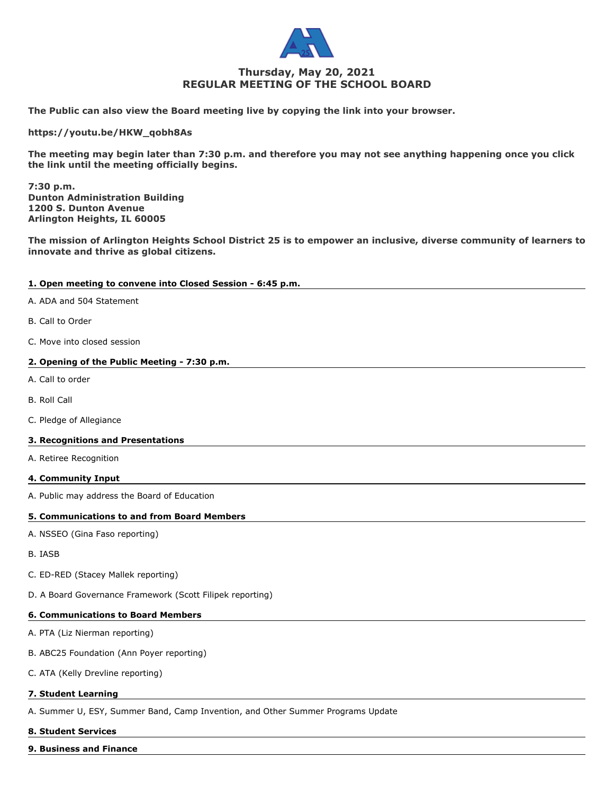

# **Thursday, May 20, 2021 REGULAR MEETING OF THE SCHOOL BOARD**

**The Public can also view the Board meeting live by copying the link into your browser.**

**https://youtu.be/HKW\_qobh8As**

**The meeting may begin later than 7:30 p.m. and therefore you may not see anything happening once you click the link until the meeting officially begins.**

**7:30 p.m. Dunton Administration Building 1200 S. Dunton Avenue Arlington Heights, IL 60005**

**The mission of Arlington Heights School District 25 is to empower an inclusive, diverse community of learners to innovate and thrive as global citizens.**

## **1. Open meeting to convene into Closed Session - 6:45 p.m.**

- A. ADA and 504 Statement
- B. Call to Order
- C. Move into closed session

# **2. Opening of the Public Meeting - 7:30 p.m.**

- A. Call to order
- B. Roll Call
- C. Pledge of Allegiance

#### **3. Recognitions and Presentations**

A. Retiree Recognition

#### **4. Community Input**

A. Public may address the Board of Education

# **5. Communications to and from Board Members**

- A. NSSEO (Gina Faso reporting)
- B. IASB
- C. ED-RED (Stacey Mallek reporting)
- D. A Board Governance Framework (Scott Filipek reporting)

## **6. Communications to Board Members**

- A. PTA (Liz Nierman reporting)
- B. ABC25 Foundation (Ann Poyer reporting)
- C. ATA (Kelly Drevline reporting)

#### **7. Student Learning**

A. Summer U, ESY, Summer Band, Camp Invention, and Other Summer Programs Update

#### **8. Student Services**

**9. Business and Finance**